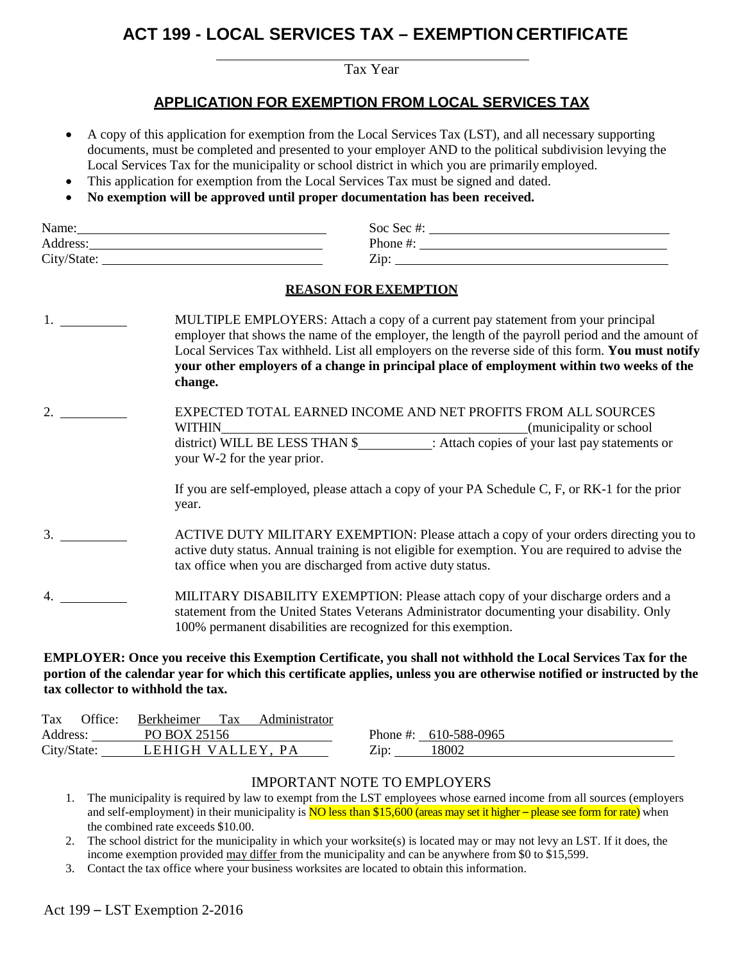# **ACT 199 - LOCAL SERVICES TAX – EXEMPTION CERTIFICATE**

Tax Year

## **APPLICATION FOR EXEMPTION FROM LOCAL SERVICES TAX**

- A copy of this application for exemption from the Local Services Tax (LST), and all necessary supporting documents, must be completed and presented to your employer AND to the political subdivision levying the Local Services Tax for the municipality or school district in which you are primarily employed.
- This application for exemption from the Local Services Tax must be signed and dated.
- **No exemption will be approved until proper documentation has been received.**

| Name:       | Soc Sec #: |
|-------------|------------|
| Address:    | Phone #.   |
| City/State: | Zip        |

#### **REASON FOR EXEMPTION**

|                  | MULTIPLE EMPLOYERS: Attach a copy of a current pay statement from your principal<br>employer that shows the name of the employer, the length of the payroll period and the amount of<br>Local Services Tax withheld. List all employers on the reverse side of this form. You must notify<br>your other employers of a change in principal place of employment within two weeks of the<br>change. |
|------------------|---------------------------------------------------------------------------------------------------------------------------------------------------------------------------------------------------------------------------------------------------------------------------------------------------------------------------------------------------------------------------------------------------|
| $\overline{2}$ . | EXPECTED TOTAL EARNED INCOME AND NET PROFITS FROM ALL SOURCES<br><b>WITHIN</b><br>(municipality or school)<br>district) WILL BE LESS THAN \$: Attach copies of your last pay statements or<br>your W-2 for the year prior.                                                                                                                                                                        |
|                  | If you are self-employed, please attach a copy of your PA Schedule C, F, or RK-1 for the prior<br>year.                                                                                                                                                                                                                                                                                           |
| 3.               | ACTIVE DUTY MILITARY EXEMPTION: Please attach a copy of your orders directing you to<br>active duty status. Annual training is not eligible for exemption. You are required to advise the<br>tax office when you are discharged from active duty status.                                                                                                                                          |
|                  | MILITARY DISABILITY EXEMPTION: Please attach copy of your discharge orders and a<br>statement from the United States Veterans Administrator documenting your disability. Only                                                                                                                                                                                                                     |

#### **EMPLOYER: Once you receive this Exemption Certificate, you shall not withhold the Local Services Tax for the portion of the calendar year for which this certificate applies, unless you are otherwise notified or instructed by the tax collector to withhold the tax.**

100% permanent disabilities are recognized for this exemption.

| Tax         | Office: | <b>Berkheimer</b> | Tax | Administrator |      |                         |
|-------------|---------|-------------------|-----|---------------|------|-------------------------|
| Address:    |         | PO BOX 25156      |     |               |      | Phone #: $610-588-0965$ |
| City/State: |         | LEHIGH VALLEY, PA |     |               | Zip: | 2800'                   |

## IMPORTANT NOTE TO EMPLOYERS

1. The municipality is required by law to exempt from the LST employees whose earned income from all sources (employers and self-employment) in their municipality is  $\overline{NO}$  less than \$15,600 (areas may set it higher – please see form for rate) when the combined rate exceeds \$10.00.

2. The school district for the municipality in which your worksite(s) is located may or may not levy an LST. If it does, the income exemption provided may differ from the municipality and can be anywhere from \$0 to \$15,599.

3. Contact the tax office where your business worksites are located to obtain this information.